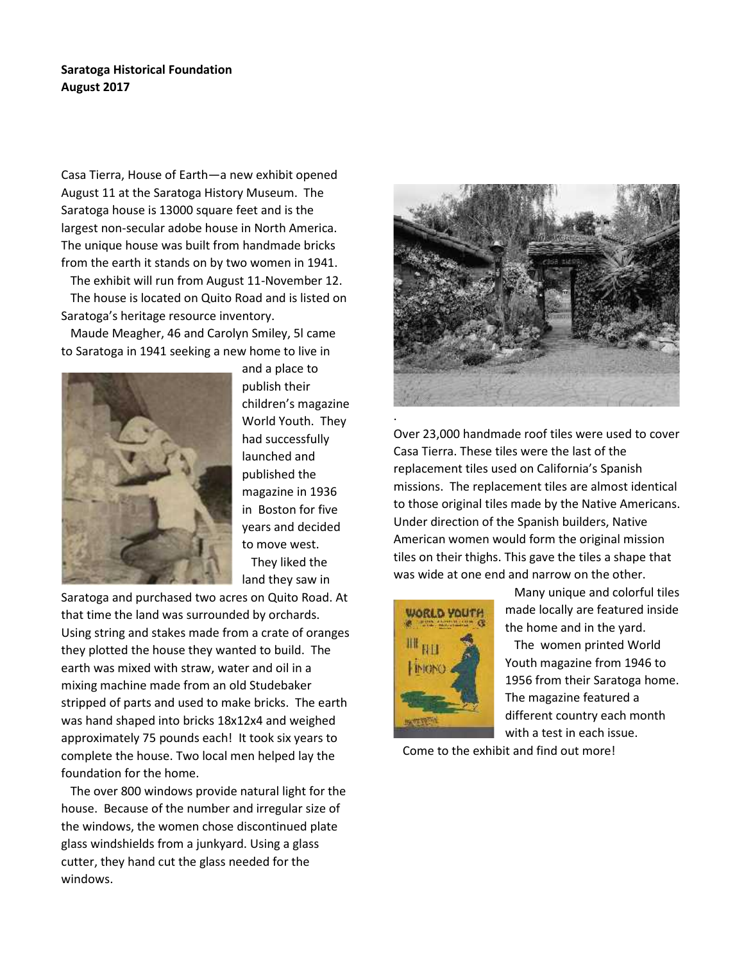## **Saratoga Historical Foundation August 2017**

Casa Tierra, House of Earth—a new exhibit opened August 11 at the Saratoga History Museum. The Saratoga house is 13000 square feet and is the largest non-secular adobe house in North America. The unique house was built from handmade bricks from the earth it stands on by two women in 1941.

The exhibit will run from August 11-November 12. The house is located on Quito Road and is listed on Saratoga's heritage resource inventory.

Maude Meagher, 46 and Carolyn Smiley, 5l came to Saratoga in 1941 seeking a new home to live in



and a place to publish their children's magazine World Youth. They had successfully launched and published the magazine in 1936 in Boston for five years and decided to move west. They liked the land they saw in

Saratoga and purchased two acres on Quito Road. At that time the land was surrounded by orchards. Using string and stakes made from a crate of oranges they plotted the house they wanted to build. The earth was mixed with straw, water and oil in a mixing machine made from an old Studebaker stripped of parts and used to make bricks. The earth was hand shaped into bricks 18x12x4 and weighed approximately 75 pounds each! It took six years to complete the house. Two local men helped lay the foundation for the home.

The over 800 windows provide natural light for the house. Because of the number and irregular size of the windows, the women chose discontinued plate glass windshields from a junkyard. Using a glass cutter, they hand cut the glass needed for the windows.



.Over 23,000 handmade roof tiles were used to cover Casa Tierra. These tiles were the last of the replacement tiles used on California's Spanish missions. The replacement tiles are almost identical to those original tiles made by the Native Americans. Under direction of the Spanish builders, Native American women would form the original mission tiles on their thighs. This gave the tiles a shape that was wide at one end and narrow on the other.



Many unique and colorful tiles made locally are featured inside the home and in the yard.

The women printed World Youth magazine from 1946 to 1956 from their Saratoga home. The magazine featured a different country each month with a test in each issue.

Come to the exhibit and find out more!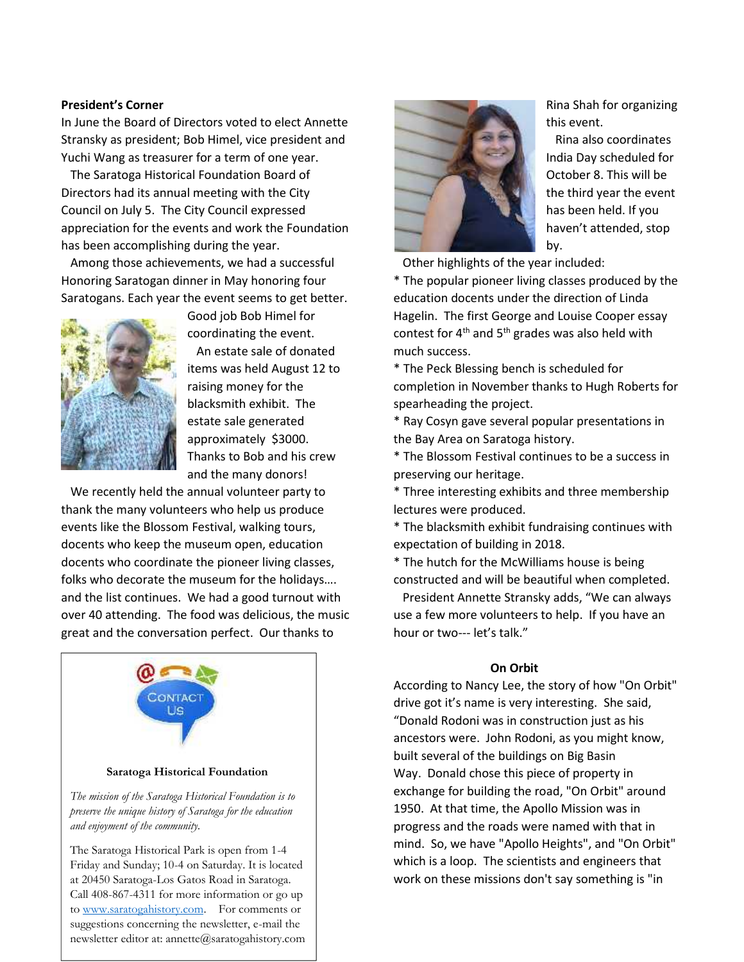#### **President's Corner**

In June the Board of Directors voted to elect Annette Stransky as president; Bob Himel, vice president and Yuchi Wang as treasurer for a term of one year.

The Saratoga Historical Foundation Board of Directors had its annual meeting with the City Council on July 5. The City Council expressed appreciation for the events and work the Foundation has been accomplishing during the year.

Among those achievements, we had a successful Honoring Saratogan dinner in May honoring four Saratogans. Each year the event seems to get better.



Good job Bob Himel for coordinating the event.

An estate sale of donated items was held August 12 to raising money for the blacksmith exhibit. The estate sale generated approximately \$3000. Thanks to Bob and his crew and the many donors!

We recently held the annual volunteer party to thank the many volunteers who help us produce events like the Blossom Festival, walking tours, docents who keep the museum open, education docents who coordinate the pioneer living classes, folks who decorate the museum for the holidays…. and the list continues. We had a good turnout with over 40 attending. The food was delicious, the music great and the conversation perfect. Our thanks to



#### *The mission of the Saratoga Historical Foundation is to preserve the unique history of Saratoga for the education and enjoyment of the community.*

The Saratoga Historical Park is open from 1-4 Friday and Sunday; 10-4 on Saturday. It is located at 20450 Saratoga-Los Gatos Road in Saratoga. Call 408-867-4311 for more information or go up to www.saratogahistory.com. For comments or suggestions concerning the newsletter, e-mail the newsletter editor at: annette@saratogahistory.com



Rina Shah for organizing this event.

Rina also coordinates India Day scheduled for October 8. This will be the third year the event has been held. If you haven't attended, stop by.

Other highlights of the year included:

\* The popular pioneer living classes produced by the education docents under the direction of Linda Hagelin. The first George and Louise Cooper essay contest for 4<sup>th</sup> and 5<sup>th</sup> grades was also held with much success.

\* The Peck Blessing bench is scheduled for completion in November thanks to Hugh Roberts for spearheading the project.

\* Ray Cosyn gave several popular presentations in the Bay Area on Saratoga history.

\* The Blossom Festival continues to be a success in preserving our heritage.

\* Three interesting exhibits and three membership lectures were produced.

\* The blacksmith exhibit fundraising continues with expectation of building in 2018.

\* The hutch for the McWilliams house is being constructed and will be beautiful when completed.

President Annette Stransky adds, "We can always use a few more volunteers to help. If you have an hour or two--- let's talk."

#### **On Orbit**

According to Nancy Lee, the story of how "On Orbit" drive got it's name is very interesting. She said, "Donald Rodoni was in construction just as his ancestors were. John Rodoni, as you might know, built several of the buildings on Big Basin Way. Donald chose this piece of property in exchange for building the road, "On Orbit" around 1950. At that time, the Apollo Mission was in progress and the roads were named with that in mind. So, we have "Apollo Heights", and "On Orbit" which is a loop. The scientists and engineers that work on these missions don't say something is "in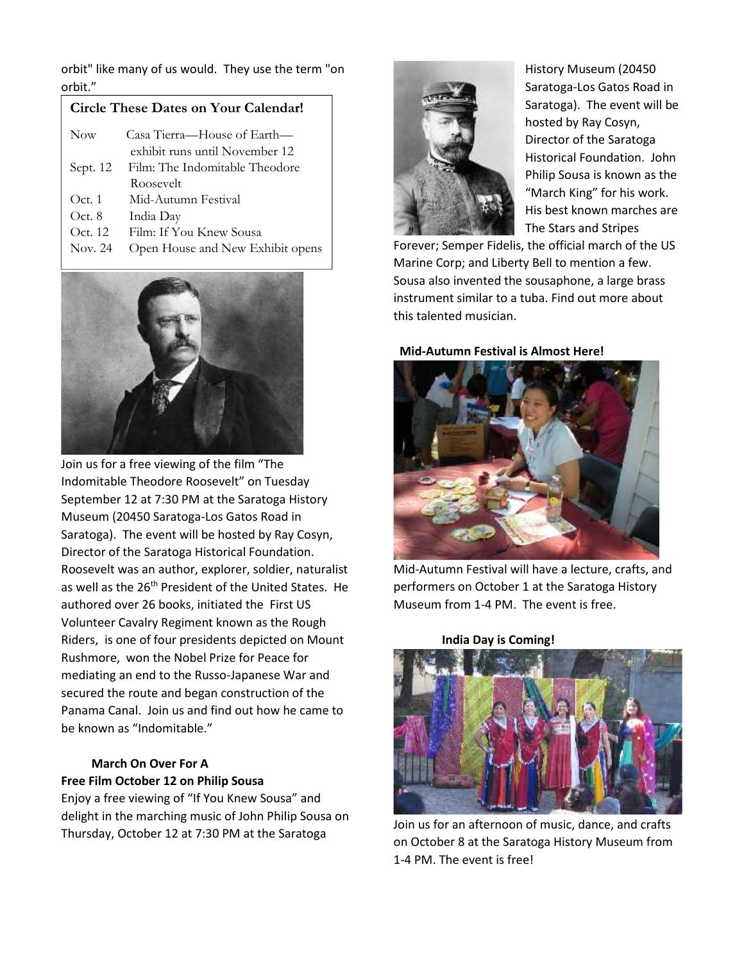orbit" like many of us would. They use the term "on orbit."

# **Circle These Dates on Your Calendar!**

| Now      | Casa Tierra—House of Earth—      |  |
|----------|----------------------------------|--|
|          | exhibit runs until November 12   |  |
| Sept. 12 | Film: The Indomitable Theodore   |  |
|          | Roosevelt                        |  |
| Oct. 1   | Mid-Autumn Festival              |  |
| Oct. 8   | India Day                        |  |
| Oct. 12  | Film: If You Knew Sousa          |  |
| Nov. 24  | Open House and New Exhibit opens |  |



Join us for a free viewing of the film "The Indomitable Theodore Roosevelt" on Tuesday September 12 at 7:30 PM at the Saratoga History Museum (20450 Saratoga-Los Gatos Road in Saratoga). The event will be hosted by Ray Cosyn, Director of the Saratoga Historical Foundation. Roosevelt was an author, explorer, soldier, naturalist as well as the 26<sup>th</sup> President of the United States. He authored over 26 books, initiated the First US Volunteer Cavalry Regiment known as the Rough Riders, is one of four presidents depicted on Mount Rushmore, won the Nobel Prize for Peace for mediating an end to the Russo-Japanese War and secured the route and began construction of the Panama Canal. Join us and find out how he came to be known as "Indomitable."

# **March On Over For A Free Film October 12 on Philip Sousa**

Enjoy a free viewing of "If You Knew Sousa" and delight in the marching music of John Philip Sousa on Thursday, October 12 at 7:30 PM at the Saratoga



History Museum (20450 Saratoga-Los Gatos Road in Saratoga). The event will be hosted by Ray Cosyn, Director of the Saratoga Historical Foundation. John Philip Sousa is known as the "March King" for his work. His best known marches are The Stars and Stripes

Forever; Semper Fidelis, the official march of the US Marine Corp; and Liberty Bell to mention a few. Sousa also invented the sousaphone, a large brass instrument similar to a tuba. Find out more about this talented musician.

## **Mid-Autumn Festival is Almost Here!**



Mid-Autumn Festival will have a lecture, crafts, and performers on October 1 at the Saratoga History Museum from 1-4 PM. The event is free.

**India Day is Coming!**



Join us for an afternoon of music, dance, and crafts on October 8 at the Saratoga History Museum from 1-4 PM. The event is free!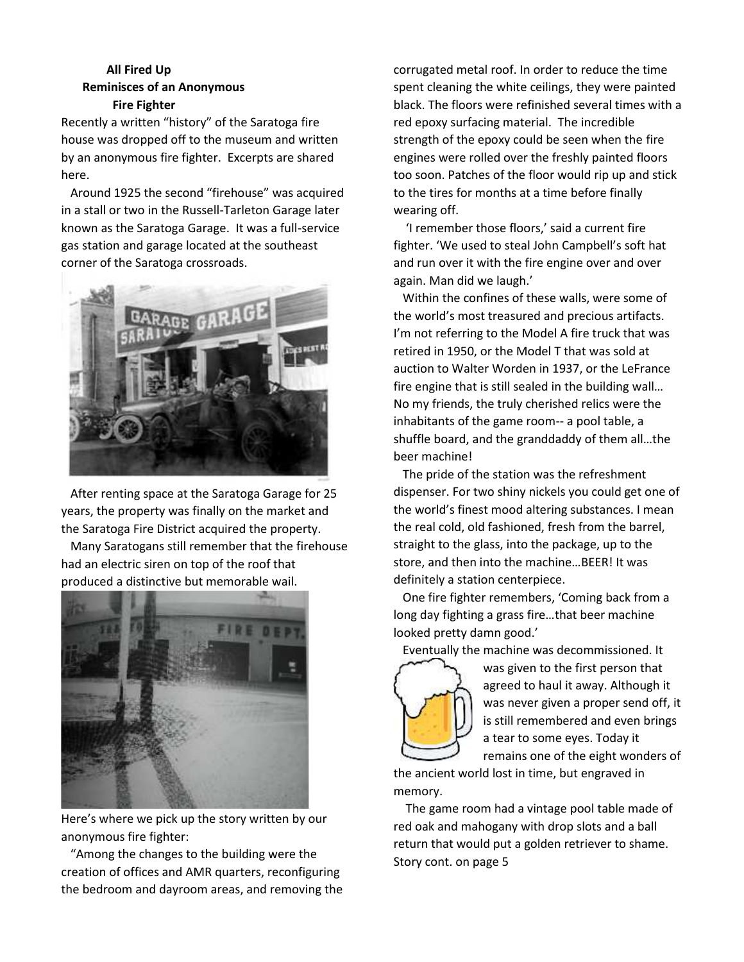# **All Fired Up Reminisces of an Anonymous Fire Fighter**

Recently a written "history" of the Saratoga fire house was dropped off to the museum and written by an anonymous fire fighter. Excerpts are shared here.

Around 1925 the second "firehouse" was acquired in a stall or two in the Russell-Tarleton Garage later known as the Saratoga Garage. It was a full-service gas station and garage located at the southeast corner of the Saratoga crossroads.



After renting space at the Saratoga Garage for 25 years, the property was finally on the market and the Saratoga Fire District acquired the property.

Many Saratogans still remember that the firehouse had an electric siren on top of the roof that produced a distinctive but memorable wail.

![](_page_3_Picture_6.jpeg)

Here's where we pick up the story written by our anonymous fire fighter:

"Among the changes to the building were the creation of offices and AMR quarters, reconfiguring the bedroom and dayroom areas, and removing the corrugated metal roof. In order to reduce the time spent cleaning the white ceilings, they were painted black. The floors were refinished several times with a red epoxy surfacing material. The incredible strength of the epoxy could be seen when the fire engines were rolled over the freshly painted floors too soon. Patches of the floor would rip up and stick to the tires for months at a time before finally wearing off.

'I remember those floors,' said a current fire fighter. 'We used to steal John Campbell's soft hat and run over it with the fire engine over and over again. Man did we laugh.'

Within the confines of these walls, were some of the world's most treasured and precious artifacts. I'm not referring to the Model A fire truck that was retired in 1950, or the Model T that was sold at auction to Walter Worden in 1937, or the LeFrance fire engine that is still sealed in the building wall… No my friends, the truly cherished relics were the inhabitants of the game room-- a pool table, a shuffle board, and the granddaddy of them all…the beer machine!

The pride of the station was the refreshment dispenser. For two shiny nickels you could get one of the world's finest mood altering substances. I mean the real cold, old fashioned, fresh from the barrel, straight to the glass, into the package, up to the store, and then into the machine…BEER! It was definitely a station centerpiece.

One fire fighter remembers, 'Coming back from a long day fighting a grass fire…that beer machine looked pretty damn good.'

Eventually the machine was decommissioned. It

![](_page_3_Picture_15.jpeg)

was given to the first person that agreed to haul it away. Although it was never given a proper send off, it is still remembered and even brings a tear to some eyes. Today it remains one of the eight wonders of

the ancient world lost in time, but engraved in memory.

The game room had a vintage pool table made of red oak and mahogany with drop slots and a ball return that would put a golden retriever to shame. Story cont. on page 5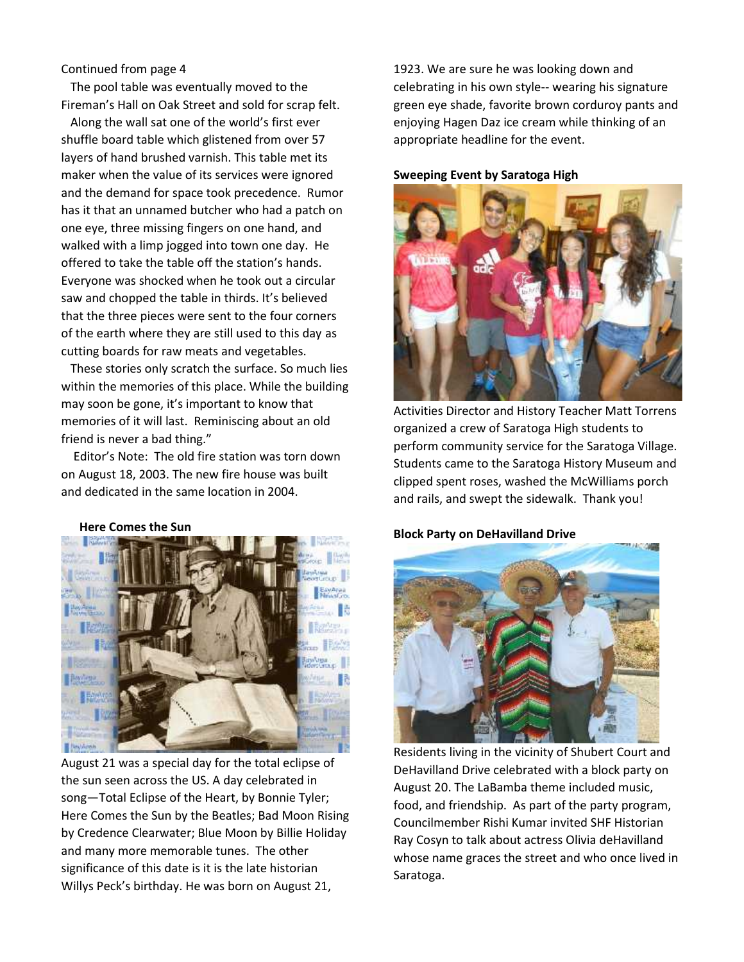#### Continued from page 4

The pool table was eventually moved to the Fireman's Hall on Oak Street and sold for scrap felt.

Along the wall sat one of the world's first ever shuffle board table which glistened from over 57 layers of hand brushed varnish. This table met its maker when the value of its services were ignored and the demand for space took precedence. Rumor has it that an unnamed butcher who had a patch on one eye, three missing fingers on one hand, and walked with a limp jogged into town one day. He offered to take the table off the station's hands. Everyone was shocked when he took out a circular saw and chopped the table in thirds. It's believed that the three pieces were sent to the four corners of the earth where they are still used to this day as cutting boards for raw meats and vegetables.

These stories only scratch the surface. So much lies within the memories of this place. While the building may soon be gone, it's important to know that memories of it will last. Reminiscing about an old friend is never a bad thing."

Editor's Note: The old fire station was torn down on August 18, 2003. The new fire house was built and dedicated in the same location in 2004.

#### **Here Comes the Sun**

![](_page_4_Picture_6.jpeg)

August 21 was a special day for the total eclipse of the sun seen across the US. A day celebrated in song—Total Eclipse of the Heart, by Bonnie Tyler; Here Comes the Sun by the Beatles; Bad Moon Rising by Credence Clearwater; Blue Moon by Billie Holiday and many more memorable tunes. The other significance of this date is it is the late historian Willys Peck's birthday. He was born on August 21,

1923. We are sure he was looking down and celebrating in his own style-- wearing his signature green eye shade, favorite brown corduroy pants and enjoying Hagen Daz ice cream while thinking of an appropriate headline for the event.

#### **Sweeping Event by Saratoga High**

![](_page_4_Picture_10.jpeg)

Activities Director and History Teacher Matt Torrens organized a crew of Saratoga High students to perform community service for the Saratoga Village. Students came to the Saratoga History Museum and clipped spent roses, washed the McWilliams porch and rails, and swept the sidewalk. Thank you!

#### **Block Party on DeHavilland Drive**

![](_page_4_Picture_13.jpeg)

Residents living in the vicinity of Shubert Court and DeHavilland Drive celebrated with a block party on August 20. The LaBamba theme included music, food, and friendship. As part of the party program, Councilmember Rishi Kumar invited SHF Historian Ray Cosyn to talk about actress Olivia deHavilland whose name graces the street and who once lived in Saratoga.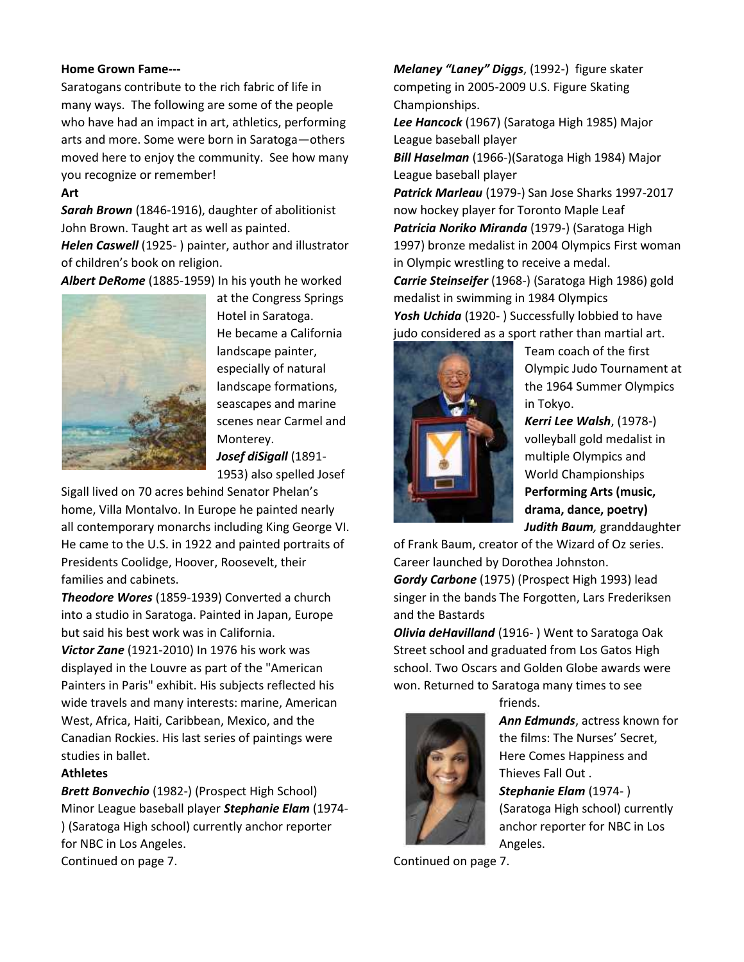#### **Home Grown Fame---**

Saratogans contribute to the rich fabric of life in many ways. The following are some of the people who have had an impact in art, athletics, performing arts and more. Some were born in Saratoga—others moved here to enjoy the community. See how many you recognize or remember!

### **Art**

*Sarah Brown* (1846-1916), daughter of abolitionist John Brown. Taught art as well as painted. *Helen Caswell* (1925- ) painter, author and illustrator of children's book on religion.

*Albert DeRome* (1885-1959) In his youth he worked

![](_page_5_Picture_5.jpeg)

at the Congress Springs Hotel in Saratoga. He became a California landscape painter, especially of natural landscape formations, seascapes and marine scenes near Carmel and Monterey. *Josef diSigall* (1891-

1953) also spelled Josef

Sigall lived on 70 acres behind Senator Phelan's home, Villa Montalvo. In Europe he painted nearly all contemporary monarchs including King George VI. He came to the U.S. in 1922 and painted portraits of Presidents Coolidge, Hoover, Roosevelt, their families and cabinets.

*Theodore Wores* (1859-1939) Converted a church into a studio in Saratoga. Painted in Japan, Europe but said his best work was in California.

*Victor Zane* (1921-2010) In 1976 his work was displayed in the Louvre as part of the "American Painters in Paris" exhibit. His subjects reflected his wide travels and many interests: marine, American West, Africa, Haiti, Caribbean, Mexico, and the Canadian Rockies. His last series of paintings were studies in ballet.

#### **Athletes**

*Brett Bonvechio* (1982-) (Prospect High School) Minor League baseball player *Stephanie Elam* (1974- ) (Saratoga High school) currently anchor reporter for NBC in Los Angeles. Continued on page 7.

*Melaney "Laney" Diggs*, (1992-) figure skater competing in 2005-2009 U.S. Figure Skating Championships.

*Lee Hancock* (1967) (Saratoga High 1985) Major League baseball player

*Bill Haselman* (1966-)(Saratoga High 1984) Major League baseball player

*Patrick Marleau* (1979-) San Jose Sharks 1997-2017 now hockey player for Toronto Maple Leaf *Patricia Noriko Miranda* (1979-) (Saratoga High 1997) bronze medalist in 2004 Olympics First woman in Olympic wrestling to receive a medal.

*Carrie Steinseifer* (1968-) (Saratoga High 1986) gold medalist in swimming in 1984 Olympics Yosh Uchida (1920-) Successfully lobbied to have

judo considered as a sport rather than martial art.

![](_page_5_Picture_19.jpeg)

Team coach of the first Olympic Judo Tournament at the 1964 Summer Olympics in Tokyo.

*Kerri Lee Walsh*, (1978-) volleyball gold medalist in multiple Olympics and World Championships **Performing Arts (music, drama, dance, poetry)** *Judith Baum,* granddaughter

of Frank Baum, creator of the Wizard of Oz series. Career launched by Dorothea Johnston. *Gordy Carbone* (1975) (Prospect High 1993) lead singer in the bands The Forgotten, Lars Frederiksen

and the Bastards *Olivia deHavilland* (1916- ) Went to Saratoga Oak Street school and graduated from Los Gatos High school. Two Oscars and Golden Globe awards were won. Returned to Saratoga many times to see

![](_page_5_Picture_24.jpeg)

friends.

*Ann Edmunds*, actress known for the films: The Nurses' Secret, Here Comes Happiness and Thieves Fall Out . *Stephanie Elam* (1974- ) (Saratoga High school) currently anchor reporter for NBC in Los Angeles.

Continued on page 7.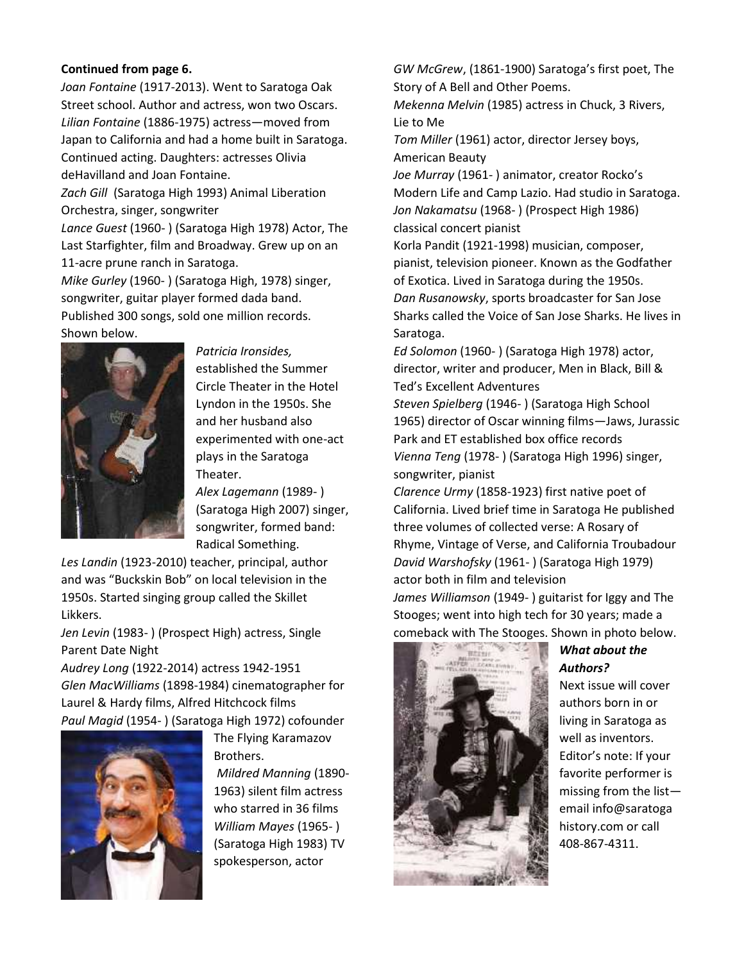## **Continued from page 6.**

*Joan Fontaine* (1917-2013). Went to Saratoga Oak Street school. Author and actress, won two Oscars. *Lilian Fontaine* (1886-1975) actress—moved from Japan to California and had a home built in Saratoga. Continued acting. Daughters: actresses Olivia deHavilland and Joan Fontaine.

*Zach Gill* (Saratoga High 1993) Animal Liberation Orchestra, singer, songwriter

*Lance Guest* (1960- ) (Saratoga High 1978) Actor, The Last Starfighter, film and Broadway. Grew up on an 11-acre prune ranch in Saratoga.

*Mike Gurley* (1960- ) (Saratoga High, 1978) singer, songwriter, guitar player formed dada band. Published 300 songs, sold one million records. Shown below.

![](_page_6_Picture_5.jpeg)

*Patricia Ironsides,* established the Summer Circle Theater in the Hotel Lyndon in the 1950s. She and her husband also experimented with one-act plays in the Saratoga Theater.

*Alex Lagemann* (1989- ) (Saratoga High 2007) singer, songwriter, formed band: Radical Something.

*Les Landin* (1923-2010) teacher, principal, author and was "Buckskin Bob" on local television in the 1950s. Started singing group called the Skillet Likkers.

*Jen Levin* (1983- ) (Prospect High) actress, Single Parent Date Night

*Audrey Long* (1922-2014) actress 1942-1951 *Glen MacWilliams* (1898-1984) cinematographer for Laurel & Hardy films, Alfred Hitchcock films *Paul Magid* (1954- ) (Saratoga High 1972) cofounder

![](_page_6_Picture_11.jpeg)

The Flying Karamazov Brothers. *Mildred Manning* (1890- 1963) silent film actress who starred in 36 films *William Mayes* (1965- ) (Saratoga High 1983) TV spokesperson, actor

*GW McGrew*, (1861-1900) Saratoga's first poet, The Story of A Bell and Other Poems.

*Mekenna Melvin* (1985) actress in Chuck, 3 Rivers, Lie to Me

*Tom Miller* (1961) actor, director Jersey boys, American Beauty

*Joe Murray* (1961- ) animator, creator Rocko's Modern Life and Camp Lazio. Had studio in Saratoga. *Jon Nakamatsu* (1968- ) (Prospect High 1986) classical concert pianist

Korla Pandit (1921-1998) musician, composer, pianist, television pioneer. Known as the Godfather of Exotica. Lived in Saratoga during the 1950s. *Dan Rusanowsky*, sports broadcaster for San Jose Sharks called the Voice of San Jose Sharks. He lives in Saratoga.

*Ed Solomon* (1960- ) (Saratoga High 1978) actor, director, writer and producer, Men in Black, Bill & Ted's Excellent Adventures

*Steven Spielberg* (1946- ) (Saratoga High School 1965) director of Oscar winning films—Jaws, Jurassic Park and ET established box office records *Vienna Teng* (1978- ) (Saratoga High 1996) singer, songwriter, pianist

*Clarence Urmy* (1858-1923) first native poet of California. Lived brief time in Saratoga He published three volumes of collected verse: A Rosary of Rhyme, Vintage of Verse, and California Troubadour *David Warshofsky* (1961- ) (Saratoga High 1979) actor both in film and television

*James Williamson* (1949- ) guitarist for Iggy and The Stooges; went into high tech for 30 years; made a comeback with The Stooges. Shown in photo below.

![](_page_6_Picture_22.jpeg)

# *What about the Authors?*

Next issue will cover authors born in or living in Saratoga as well as inventors. Editor's note: If your favorite performer is missing from the list email info@saratoga history.com or call 408-867-4311.